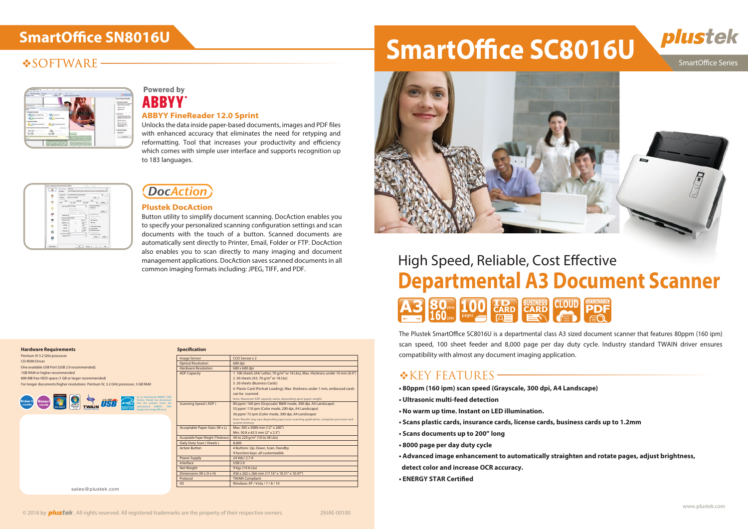# **SmartOffice SN8016U**

# **VSOFTWARE**

| arrive week<br>٠<br>and depressed three read                                                            | <b>Box 14 Hours of the cardial</b>                                                                                                           |
|---------------------------------------------------------------------------------------------------------|----------------------------------------------------------------------------------------------------------------------------------------------|
| <b>WHO REAGA</b><br><b>Installations</b><br>Fax:<br>۰                                                   | a bhain a'<br>1 Returns records<br>Manufacturer 14, 2012 and the Alan<br>and the restriction and interesting<br>A tractor<br><b>Accessor</b> |
| I was taken that the term                                                                               | $\mathcal{R}^{\mathcal{P}}$<br>a classroom                                                                                                   |
|                                                                                                         | The continue domp is more<br>line par a bit clim a site                                                                                      |
|                                                                                                         | <b>Marketing or their list day.</b>                                                                                                          |
| kee kampy is an index                                                                                   | <b>III From Kenning</b><br><b>B</b> Insertious loss                                                                                          |
| <b>Broad State</b>                                                                                      | Il inter later toda<br>3 percent                                                                                                             |
| An Arthur Avenue and Charles                                                                            |                                                                                                                                              |
|                                                                                                         | L. General Allen Gallery                                                                                                                     |
|                                                                                                         |                                                                                                                                              |
| Look on the control of personal and<br>$-4$<br><b>There was the first product of the second product</b> | all simus.                                                                                                                                   |
| A collection secure for the trade                                                                       |                                                                                                                                              |
| <b>Side of the dy low is strike</b><br>and with continues that is the species design terain and         | <b>Skinder Marine</b>                                                                                                                        |

# **Powered by ABBYY**

# High Speed, Reliable, Cost Effective **Departmental A3 Document Scanner**



The Plustek SmartOffice SC8016U is a departmental class A3 sized document scanner that features 80ppm (160 ipm) scan speed, 100 sheet feeder and 8,000 page per day duty cycle. Industry standard TWAIN driver ensures compatibility with almost any document imaging application.

# $\triangle$ KEY FEATURES-

Unlocks the data inside paper-based documents, images and PDF files with enhanced accuracy that eliminates the need for retyping and reformatting. Tool that increases your productivity and efficiency which comes with simple user interface and supports recognition up to 183 languages.

|                       | Sale foreman (POT-35)<br>Simple player that his more matter to be a pressing manifester of continu-<br>Decrease, C.                                                                                                                                                                                                                                                                                                                                                                                                                                                            |
|-----------------------|--------------------------------------------------------------------------------------------------------------------------------------------------------------------------------------------------------------------------------------------------------------------------------------------------------------------------------------------------------------------------------------------------------------------------------------------------------------------------------------------------------------------------------------------------------------------------------|
| τ<br>ç                | lambas: Etambakilousettako<br>$B \perp$<br><b>BERTHEREN</b><br><b>Holtens</b><br>box.<br><b>Fig.Kong</b><br><b>Game</b><br><b>State</b><br>$\times 10^{-1}$<br>2000<br>To face.<br>$\mathbb{Z}$                                                                                                                                                                                                                                                                                                                                                                                |
| ë<br>τ<br>τ<br>Ξ<br>ņ | ×<br>Page Aceput Aatrop<br><b>Barriage State Promised</b><br><b>Lookin II</b><br>Principal<br>200 M<br>a.<br><b>Service</b><br>P.<br>Inten.)<br>Finance - Forms<br><b>V</b> Continental Ave<br><b>House More Dist</b><br>z<br>Auto Convenience<br>x<br><b>Barba Balling</b><br>All research<br><b>Roman (W)</b><br>An Insurer<br>Alection<br>turns (c)<br><b>SHAK</b> 13<br><b>Railway Mark Plaza</b><br>Mex.13<br><b>Jange Drip Att</b><br><b>NASHER</b><br>The Monte<br>an increase that<br>down five<br><b>Removal Assistant</b><br><b>Denver Disk</b><br>×<br>Family Links |
| <b>SELECTIVITY</b>    | ment is a series                                                                                                                                                                                                                                                                                                                                                                                                                                                                                                                                                               |

# **DocAction**

- **80ppm (160 ipm) scan speed (Grayscale, 300 dpi, A4 Landscape)**
- **Ultrasonic multi-feed detection**
- **No warm up time. Instant on LED illumination.**
- **Scans plastic cards, insurance cards, license cards, business cards up to 1.2mm**
- **Scans documents up to 200" long**
- **8000 page per day duty cycle**
- **Advanced image enhancement to automatically straighten and rotate pages, adjust brightness, detect color and increase OCR accuracy.**
- **ENERGY STAR Certied**

#### **ABBYY FineReader 12.0 Sprint**

can be scanned. nte: Maximum ADF capacity

#### **Plustek DocAction**

80 ppm/ 160 ipm (Grayscale/ B&W mode, 300 dpi, A4 Landscape) 55 ppm/ 110 ipm (Color mode, 200 dpi, A4 Landscape) 36 ppm/ 72 ipm (Color mode, 300 dpi, A4 Landscape)

4. Plastic Card (Portrait Loading), Max. thickness under 1 mm, embossed card

system memory.  $\mathcal{L}(\mathsf{W} \times \mathsf{L})$  Max: 305 x 5080 mm (12" x 200") Min: 50.8 x 63.5 mm (2" x 2.5") 40 to 220 g/m<sup>2</sup> (10 to 58 Lbs)

> 24 Vdc/ 2.7 A  $\overline{IIR220}$ 9 Kgs (19.8 Lbs)

**TWAIN Compliant** 

OS Windows XP / Vista / 7 / 8 / 10

Button utility to simplify document scanning. DocAction enables you to specify your personalized scanning configuration settings and scan documents with the touch of a button. Scanned documents are automatically sent directly to Printer, Email, Folder or FTP. DocAction also enables you to scan directly to many imaging and document management applications. DocAction saves scanned documents in all common imaging formats including: JPEG, TIFF, and PDF.

> CCD Sensor x 2  $600$  dpi  $\overline{600 \times 600}$  dp

4 Buttons: Up, Down, Scan, Standby 9 function keys: all customizable.

 $436 \times 262 \times 266$  mm (17.16" x 10.31" x 10.47")

. 100 sheets (A4/ Letter, 70 g/m<sup>2</sup> or 18 Lbs), Max. thickness under 10 m

sales@plustek.com



2. 50 sheets (A3, 70 g/m² or 18 Lbs) 3. 20 sheets (Business Cards)

| <b>Hardware Requirements</b>                                                                                                     | <b>Specification</b>                |                   |
|----------------------------------------------------------------------------------------------------------------------------------|-------------------------------------|-------------------|
| Pentium IV 3.2 GHz processor                                                                                                     | <b>Image Sensor</b>                 | CCD:              |
| <b>CD-ROM Driver</b>                                                                                                             | <b>Optical Resolution</b>           | 600 d             |
| One available USB Port (USB 2.0 recommended)                                                                                     | <b>Hardware Resolution</b>          | 600 x             |
| 1GB RAM or higher recommended                                                                                                    | <b>ADF Capacity</b>                 | 1.100             |
| 800 MB free HDD space (1 GB or larger recommended)                                                                               |                                     | 2.50              |
| For longer documents/higher resolutions: Pentium IV, 3.2 GHz processor, 3 GB RAM                                                 |                                     | 3.20              |
|                                                                                                                                  |                                     | 4. Pla            |
| Compatible with                                                                                                                  |                                     | can b             |
| As an international ENERGY STAR<br>4<br>$2.016 - SPEED$<br>Partner, Plustek has determined<br><b>Windows 10</b>                  |                                     | Note: I           |
| Windows 8<br>TSB<br>that this product meets the<br>compatible<br><b>CERTIFIED FOR</b><br>compatible<br>international ENERGY STAR | Scanning Speed (ADF)                | 80 pp             |
| Windows<br>Vistav<br><b>TWAIN</b><br>Windows <sup>-7</sup><br><b>ENERGYSTAR</b><br>Program for energy efficiency.                |                                     | 55 pp             |
|                                                                                                                                  |                                     | 36 pp             |
|                                                                                                                                  |                                     | Note: I<br>system |
|                                                                                                                                  | Acceptable Paper Sizes (W x L)      | Max:              |
|                                                                                                                                  |                                     | Min: 5            |
|                                                                                                                                  | Acceptable Paper Weight (Thickness) | 40 to             |
|                                                                                                                                  | Daily Duty Scan (Sheets)            | 8.000             |
|                                                                                                                                  | <b>Action Button</b>                | 4 But             |
|                                                                                                                                  |                                     | 9 fun             |
|                                                                                                                                  | <b>Power Supply</b>                 | <b>24 Vc</b>      |
|                                                                                                                                  | Interface                           | USB <sub>2</sub>  |
|                                                                                                                                  | <b>Net Weight</b>                   | 9 Kgs             |
|                                                                                                                                  | Dimensions (W x D x H)              | 436 x             |
|                                                                                                                                  | Protocol                            | <b>TWAI</b>       |

Note: Results may vary depending upon your scanning application, computer processor and

# plustek **SmartOffice SC8016U SmartOffice Series**